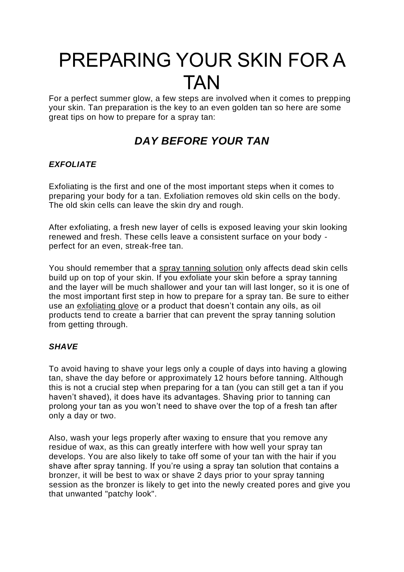# PREPARING YOUR SKIN FOR A TAN

For a perfect summer glow, a few steps are involved when it comes to prepping your skin. Tan preparation is the key to an even golden tan so here are some great tips on how to prepare for a spray tan:

# *DAY BEFORE YOUR TAN*

### *EXFOLIATE*

Exfoliating is the first and one of the most important steps when it comes to preparing your body for a tan. Exfoliation removes old skin cells on the body. The old skin cells can leave the skin dry and rough.

After exfoliating, a fresh new layer of cells is exposed leaving your skin looking renewed and fresh. These cells leave a consistent surface on your body perfect for an even, streak-free tan.

You should remember that a [spray tanning solution](https://vani-t.com.au/collections/spray-tan-solutions) only affects dead skin cells build up on top of your skin. If you exfoliate your skin before a spray tanning and the layer will be much shallower and your tan will last longer, so it is one of the most important first step in how to prepare for a spray tan. Be sure to either use an [exfoliating glove](https://vani-t.com.au/collections/tan/products/exfoliating-mitt) or a product that doesn't contain any oils, as oil products tend to create a barrier that can prevent the spray tanning solution from getting through.

### *SHAVE*

To avoid having to shave your legs only a couple of days into having a glowing tan, shave the day before or approximately 12 hours before tanning. Although this is not a crucial step when preparing for a tan (you can still get a tan if you haven't shaved), it does have its advantages. Shaving prior to tanning can prolong your tan as you won't need to shave over the top of a fresh tan after only a day or two.

Also, wash your legs properly after waxing to ensure that you remove any residue of wax, as this can greatly interfere with how well your spray tan develops. You are also likely to take off some of your tan with the hair if you shave after spray tanning. If you're using a spray tan solution that contains a bronzer, it will be best to wax or shave 2 days prior to your spray tanning session as the bronzer is likely to get into the newly created pores and give you that unwanted "patchy look".